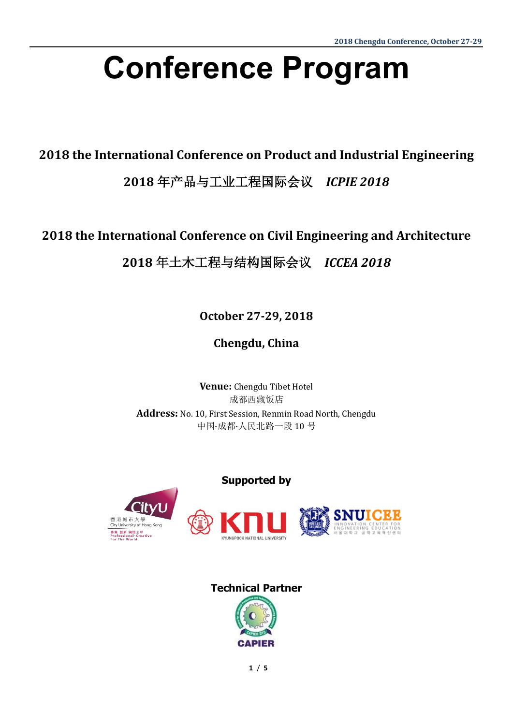# **Conference Program**

**2018 the International Conference on Product and Industrial Engineering** 

**2018** 年产品与工业工程国际会议*ICPIE 2018*

**2018 the International Conference on Civil Engineering and Architecture**

**2018** 年土木工程与结构国际会议*ICCEA 2018*

**October 27-29, 2018**

**Chengdu, China**

**Venue:** Chengdu Tibet Hotel 成都西藏饭店 **Address:** No. 10, First Session, Renmin Road North, Chengdu 中国·成都·人民北路一段 10 号

#### **Supported by**



#### **Technical Partner**

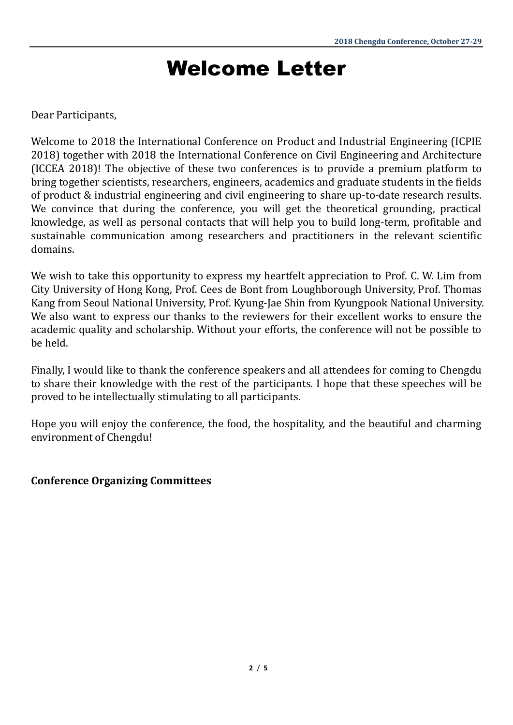### Welcome Letter

#### Dear Participants,

Welcome to 2018 the International Conference on Product and Industrial Engineering (ICPIE 2018) together with 2018 the International Conference on Civil Engineering and Architecture (ICCEA 2018)! The objective of these two conferences is to provide a premium platform to bring together scientists, researchers, engineers, academics and graduate students in the fields of product & industrial engineering and civil engineering to share up-to-date research results. We convince that during the conference, you will get the theoretical grounding, practical knowledge, as well as personal contacts that will help you to build long-term, profitable and sustainable communication among researchers and practitioners in the relevant scientific domains.

We wish to take this opportunity to express my heartfelt appreciation to Prof. C. W. Lim from City University of Hong Kong, Prof. Cees de Bont from Loughborough University, Prof. Thomas Kang from Seoul National University, Prof. Kyung-Jae Shin from Kyungpook National University. We also want to express our thanks to the reviewers for their excellent works to ensure the academic quality and scholarship. Without your efforts, the conference will not be possible to be held.

Finally, I would like to thank the conference speakers and all attendees for coming to Chengdu to share their knowledge with the rest of the participants. I hope that these speeches will be proved to be intellectually stimulating to all participants.

Hope you will enjoy the conference, the food, the hospitality, and the beautiful and charming environment of Chengdu!

#### **Conference Organizing Committees**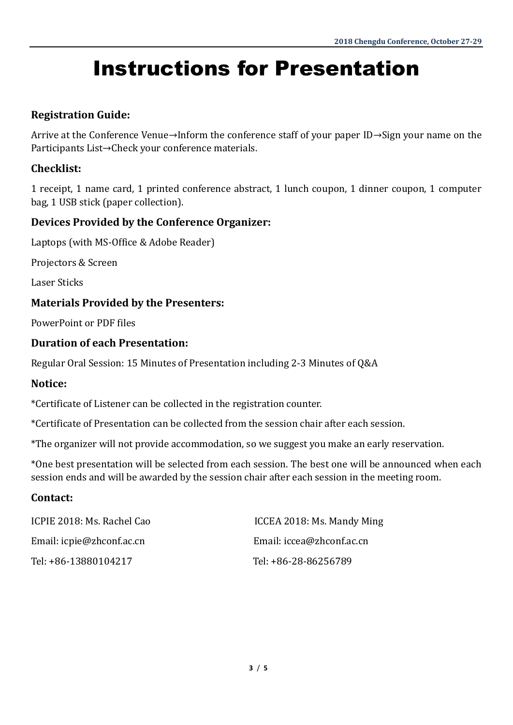## Instructions for Presentation

#### **Registration Guide:**

Arrive at the Conference Venue→Inform the conference staff of your paper ID→Sign your name on the Participants List→Check your conference materials.

#### **Checklist:**

1 receipt, 1 name card, 1 printed conference abstract, 1 lunch coupon, 1 dinner coupon, 1 computer bag, 1 USB stick (paper collection).

#### **Devices Provided by the Conference Organizer:**

Laptops (with MS-Office & Adobe Reader)

Projectors & Screen

Laser Sticks

#### **Materials Provided by the Presenters:**

PowerPoint or PDF files

#### **Duration of each Presentation:**

Regular Oral Session: 15 Minutes of Presentation including 2-3 Minutes of Q&A

#### **Notice:**

\*Certificate of Listener can be collected in the registration counter.

\*Certificate of Presentation can be collected from the session chair after each session.

\*The organizer will not provide accommodation, so we suggest you make an early reservation.

\*One best presentation will be selected from each session. The best one will be announced when each session ends and will be awarded by the session chair after each session in the meeting room.

#### **Contact:**

| ICPIE 2018: Ms. Rachel Cao | ICCEA 2018: Ms. Mandy Ming |
|----------------------------|----------------------------|
| Email: icpie@zhconf.ac.cn  | Email: iccea@zhconf.ac.cn  |
| Tel: +86-13880104217       | Tel: +86-28-86256789       |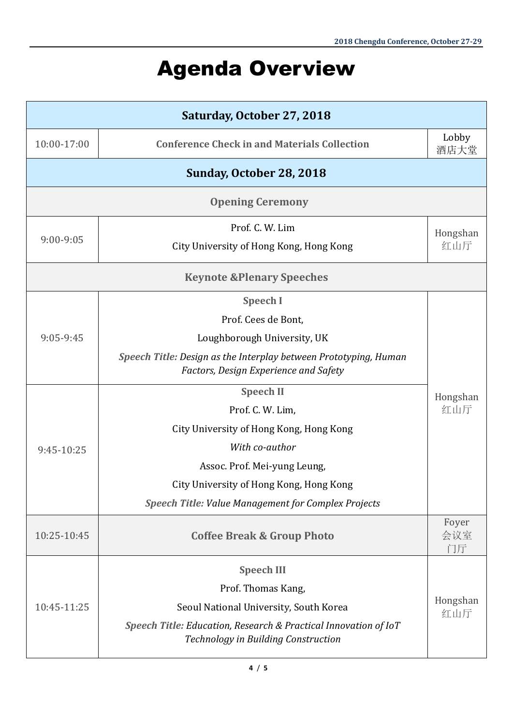### Agenda Overview

| Saturday, October 27, 2018           |                                                                                                           |                    |  |
|--------------------------------------|-----------------------------------------------------------------------------------------------------------|--------------------|--|
| 10:00-17:00                          | <b>Conference Check in and Materials Collection</b>                                                       | Lobby<br>酒店大堂      |  |
| Sunday, October 28, 2018             |                                                                                                           |                    |  |
| <b>Opening Ceremony</b>              |                                                                                                           |                    |  |
| 9:00-9:05                            | Prof. C. W. Lim                                                                                           | Hongshan           |  |
|                                      | City University of Hong Kong, Hong Kong                                                                   | 红山厅                |  |
| <b>Keynote &amp;Plenary Speeches</b> |                                                                                                           |                    |  |
| 9:05-9:45                            | <b>Speech I</b>                                                                                           |                    |  |
|                                      | Prof. Cees de Bont,                                                                                       |                    |  |
|                                      | Loughborough University, UK                                                                               |                    |  |
|                                      | Speech Title: Design as the Interplay between Prototyping, Human<br>Factors, Design Experience and Safety |                    |  |
| 9:45-10:25                           | <b>Speech II</b><br>Hongshan                                                                              |                    |  |
|                                      | Prof. C. W. Lim,                                                                                          | 红山厅                |  |
|                                      | City University of Hong Kong, Hong Kong                                                                   |                    |  |
|                                      | With co-author                                                                                            |                    |  |
|                                      | Assoc. Prof. Mei-yung Leung,                                                                              |                    |  |
|                                      | City University of Hong Kong, Hong Kong                                                                   |                    |  |
|                                      | Speech Title: Value Management for Complex Projects                                                       |                    |  |
| 10:25-10:45                          | <b>Coffee Break &amp; Group Photo</b>                                                                     | Foyer<br>会议室<br>门厅 |  |
|                                      | <b>Speech III</b>                                                                                         |                    |  |
| 10:45-11:25                          | Prof. Thomas Kang,                                                                                        |                    |  |
|                                      | Seoul National University, South Korea                                                                    | Hongshan<br>红山厅    |  |
|                                      | Speech Title: Education, Research & Practical Innovation of IoT<br>Technology in Building Construction    |                    |  |